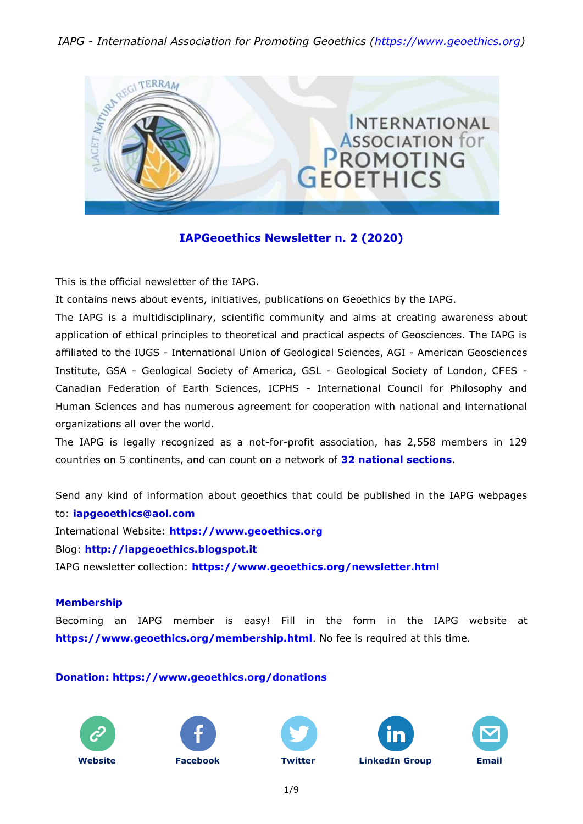# *IAPG - International Association for Promoting Geoethics (https://www.geoethics.org)*



# **IAPGeoethics Newsletter n. 2 (2020)**

This is the official newsletter of the IAPG.

It contains news about events, initiatives, publications on Geoethics by the IAPG.

The IAPG is a multidisciplinary, scientific community and aims at creating awareness about application of ethical principles to theoretical and practical aspects of Geosciences. The IAPG is affiliated to the IUGS - International Union of Geological Sciences, AGI - American Geosciences Institute, GSA - Geological Society of America, GSL - Geological Society of London, CFES - Canadian Federation of Earth Sciences, ICPHS - International Council for Philosophy and Human Sciences and has numerous agreement for cooperation with national and international organizations all over the world.

The IAPG is legally recognized as a not-for-profit association, has 2,558 members in 129 countries on 5 continents, and can count on a network of **32 national [sections](http://www.geoethics.org/sections.html)**.

Send any kind of information about geoethics that could be published in the IAPG webpages to: **[iapgeoethics@aol.com](mailto:iapgeoethics@aol.com?subject=IAPG%20newsletter)** International Website: **[https://www.geoethics.org](https://www.geoethics.org/)** Blog: **[http://iapgeoethics.blogspot.it](http://iapgeoethics.blogspot.it/)**

IAPG newsletter collection: **<https://www.geoethics.org/newsletter.html>**

### **Membership**

Becoming an IAPG member is easy! Fill in the form in the IAPG website at **<https://www.geoethics.org/membership.html>**. No fee is required at this time.

## **Donation: <https://www.geoethics.org/donations>**











1/9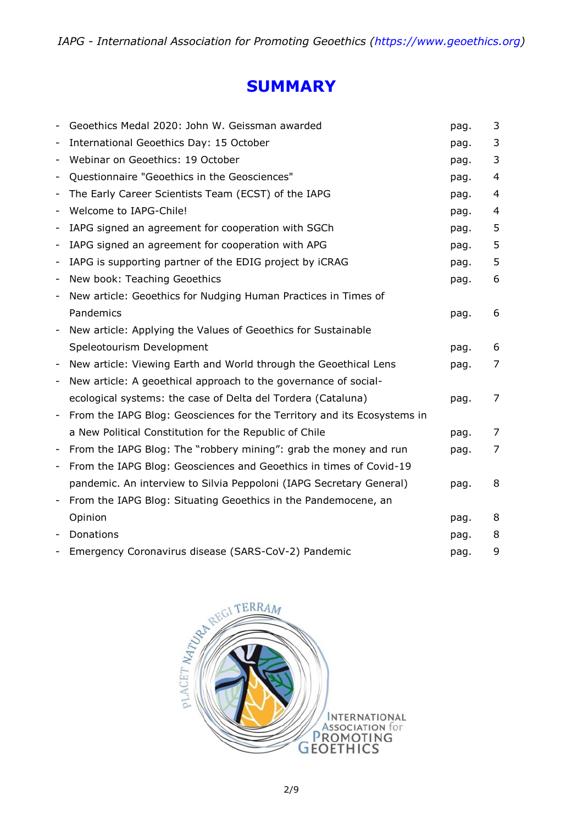# **SUMMARY**

|                          | Geoethics Medal 2020: John W. Geissman awarded                          | pag. | 3              |
|--------------------------|-------------------------------------------------------------------------|------|----------------|
| -                        | International Geoethics Day: 15 October                                 | pag. | 3              |
|                          | Webinar on Geoethics: 19 October                                        | pag. | 3              |
| $\overline{\phantom{a}}$ | Questionnaire "Geoethics in the Geosciences"                            | pag. | 4              |
| $\overline{\phantom{a}}$ | The Early Career Scientists Team (ECST) of the IAPG                     | pag. | 4              |
| $\qquad \qquad -$        | Welcome to IAPG-Chile!                                                  | pag. | 4              |
| $\overline{\phantom{a}}$ | IAPG signed an agreement for cooperation with SGCh                      | pag. | 5              |
| -                        | IAPG signed an agreement for cooperation with APG                       | pag. | 5              |
| $\overline{\phantom{a}}$ | IAPG is supporting partner of the EDIG project by iCRAG                 | pag. | 5              |
| -                        | New book: Teaching Geoethics                                            | pag. | 6              |
| -                        | New article: Geoethics for Nudging Human Practices in Times of          |      |                |
|                          | Pandemics                                                               | pag. | 6              |
| -                        | New article: Applying the Values of Geoethics for Sustainable           |      |                |
|                          | Speleotourism Development                                               | pag. | 6              |
|                          | New article: Viewing Earth and World through the Geoethical Lens        | pag. | 7              |
| $\qquad \qquad -$        | New article: A geoethical approach to the governance of social-         |      |                |
|                          | ecological systems: the case of Delta del Tordera (Cataluna)            | pag. | 7              |
| $\overline{\phantom{a}}$ | From the IAPG Blog: Geosciences for the Territory and its Ecosystems in |      |                |
|                          | a New Political Constitution for the Republic of Chile                  | pag. | $\overline{7}$ |
| $\overline{\phantom{a}}$ | From the IAPG Blog: The "robbery mining": grab the money and run        | pag. | 7              |
| -                        | From the IAPG Blog: Geosciences and Geoethics in times of Covid-19      |      |                |
|                          | pandemic. An interview to Silvia Peppoloni (IAPG Secretary General)     | pag. | 8              |
| -                        | From the IAPG Blog: Situating Geoethics in the Pandemocene, an          |      |                |
|                          | Opinion                                                                 | pag. | 8              |
|                          | Donations                                                               | pag. | 8              |
|                          | Emergency Coronavirus disease (SARS-CoV-2) Pandemic                     | pag. | 9              |

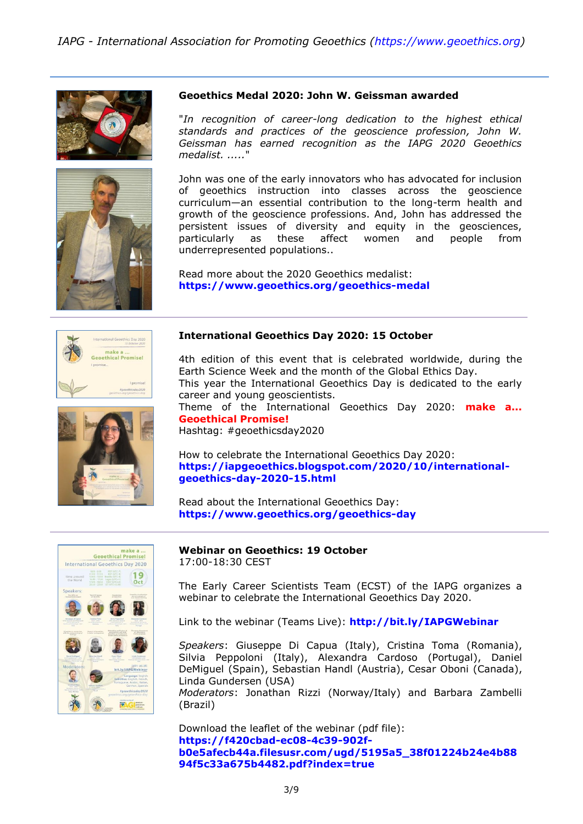



#### **Geoethics Medal 2020: John W. Geissman awarded**

"*In recognition of career-long dedication to the highest ethical standards and practices of the geoscience profession, John W. Geissman has earned recognition as the IAPG 2020 Geoethics medalist. .....*"

John was one of the early innovators who has advocated for inclusion of geoethics instruction into classes across the geoscience curriculum—an essential contribution to the long-term health and growth of the geoscience professions. And, John has addressed the persistent issues of diversity and equity in the geosciences, particularly as these affect women and people from underrepresented populations..

Read more about the 2020 Geoethics medalist: **<https://www.geoethics.org/geoethics-medal>**



#### **International Geoethics Day 2020: 15 October**

4th edition of this event that is celebrated worldwide, during the Earth Science Week and the month of the Global Ethics Day. This year the International Geoethics Day is dedicated to the early career and young geoscientists.

Theme of the International Geoethics Day 2020: **make a... Geoethical Promise!**

Hashtag: #geoethicsday2020

How to celebrate the International Geoethics Day 2020: **[https://iapgeoethics.blogspot.com/2020/10/international](https://iapgeoethics.blogspot.com/2020/10/international-geoethics-day-2020-15.html)[geoethics-day-2020-15.html](https://iapgeoethics.blogspot.com/2020/10/international-geoethics-day-2020-15.html)**

Read about the International Geoethics Day: **<https://www.geoethics.org/geoethics-day>**



#### **Webinar on Geoethics: 19 October** 17:00-18:30 CEST

The Early Career Scientists Team (ECST) of the IAPG organizes a webinar to celebrate the International Geoethics Day 2020.

Link to the webinar (Teams Live): **<http://bit.ly/IAPGWebinar>**

*Speakers*: Giuseppe Di Capua (Italy), Cristina Toma (Romania), Silvia Peppoloni (Italy), Alexandra Cardoso (Portugal), Daniel DeMiguel (Spain), Sebastian Handl (Austria), Cesar Oboni (Canada), Linda Gundersen (USA)

*Moderators*: Jonathan Rizzi (Norway/Italy) and Barbara Zambelli (Brazil)

Download the leaflet of the webinar (pdf file): **[https://f420cbad-ec08-4c39-902f](https://f420cbad-ec08-4c39-902f-b0e5afecb44a.filesusr.com/ugd/5195a5_38f01224b24e4b8894f5c33a675b4482.pdf?index=true)[b0e5afecb44a.filesusr.com/ugd/5195a5\\_38f01224b24e4b88](https://f420cbad-ec08-4c39-902f-b0e5afecb44a.filesusr.com/ugd/5195a5_38f01224b24e4b8894f5c33a675b4482.pdf?index=true) [94f5c33a675b4482.pdf?index=true](https://f420cbad-ec08-4c39-902f-b0e5afecb44a.filesusr.com/ugd/5195a5_38f01224b24e4b8894f5c33a675b4482.pdf?index=true)**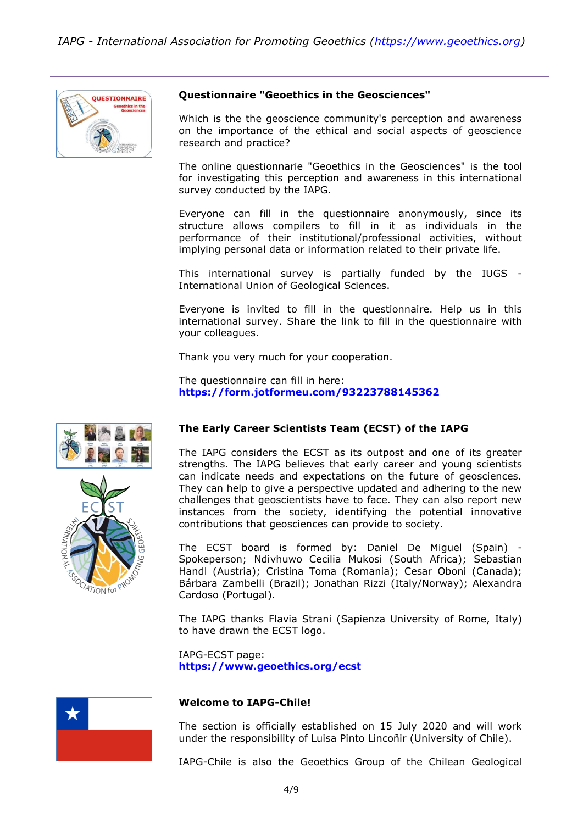

#### **Questionnaire "Geoethics in the Geosciences"**

Which is the the geoscience community's perception and awareness on the importance of the ethical and social aspects of geoscience research and practice?

The online questionnarie "Geoethics in the Geosciences" is the tool for investigating this perception and awareness in this international survey conducted by the IAPG.

Everyone can fill in the questionnaire anonymously, since its structure allows compilers to fill in it as individuals in the performance of their institutional/professional activities, without implying personal data or information related to their private life.

This international survey is partially funded by the IUGS - International Union of Geological Sciences.

Everyone is invited to fill in the questionnaire. Help us in this international survey. Share the link to fill in the questionnaire with your colleagues.

Thank you very much for your cooperation.

The questionnaire can fill in here: **<https://form.jotformeu.com/93223788145362>**





## **The Early Career Scientists Team (ECST) of the IAPG**

The IAPG considers the ECST as its outpost and one of its greater strengths. The IAPG believes that early career and young scientists can indicate needs and expectations on the future of geosciences. They can help to give a perspective updated and adhering to the new challenges that geoscientists have to face. They can also report new instances from the society, identifying the potential innovative contributions that geosciences can provide to society.

The ECST board is formed by: Daniel De Miguel (Spain) - Spokeperson; Ndivhuwo Cecilia Mukosi (South Africa); Sebastian Handl (Austria); Cristina Toma (Romania); Cesar Oboni (Canada); Bárbara Zambelli (Brazil); Jonathan Rizzi (Italy/Norway); Alexandra Cardoso (Portugal).

The IAPG thanks Flavia Strani (Sapienza University of Rome, Italy) to have drawn the ECST logo.

IAPG-ECST page: **<https://www.geoethics.org/ecst>**



#### **Welcome to IAPG-Chile!**

The section is officially established on 15 July 2020 and will work under the responsibility of Luisa Pinto Lincoñir (University of Chile).

IAPG-Chile is also the Geoethics Group of the Chilean Geological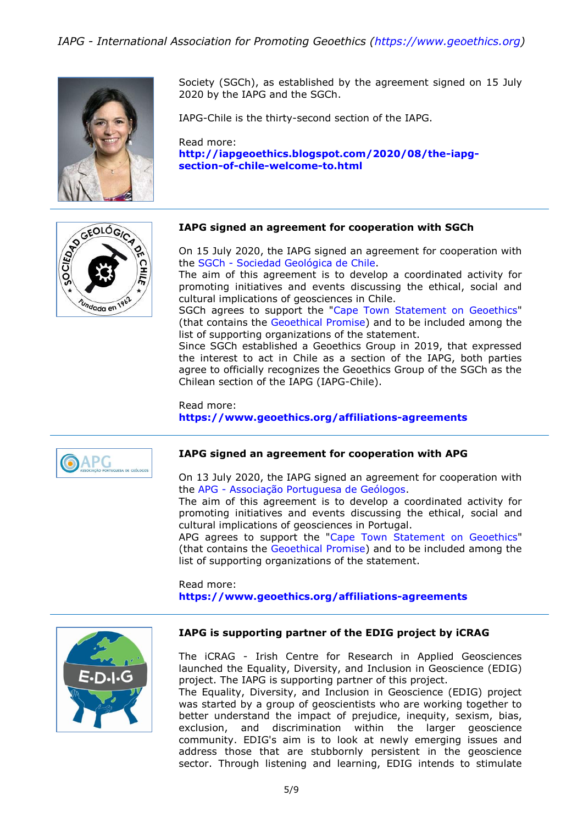*IAPG - International Association for Promoting Geoethics (https://www.geoethics.org)*



Society (SGCh), as established by the agreement signed on 15 July 2020 by the IAPG and the SGCh.

IAPG-Chile is the thirty-second section of the IAPG.

Read more: **[http://iapgeoethics.blogspot.com/2020/08/the-iapg](http://iapgeoethics.blogspot.com/2020/08/the-iapg-section-of-chile-welcome-to.html)[section-of-chile-welcome-to.html](http://iapgeoethics.blogspot.com/2020/08/the-iapg-section-of-chile-welcome-to.html)**



#### **IAPG signed an agreement for cooperation with SGCh**

On 15 July 2020, the IAPG signed an agreement for cooperation with the SGCh - [Sociedad Geológica de Chile.](https://sociedadgeologica.cl/)

The aim of this agreement is to develop a coordinated activity for promoting initiatives and events discussing the ethical, social and cultural implications of geosciences in Chile.

SGCh agrees to support the ["Cape Town Statement on Geoethics"](https://www.geoethics.org/ctsg) (that contains the [Geoethical Promise\)](https://www.geoethics.org/geopromise) and to be included among the list of supporting organizations of the statement.

Since SGCh established a Geoethics Group in 2019, that expressed the interest to act in Chile as a section of the IAPG, both parties agree to officially recognizes the Geoethics Group of the SGCh as the Chilean section of the IAPG (IAPG-Chile).

#### Read more: **<https://www.geoethics.org/affiliations-agreements>**



#### **IAPG signed an agreement for cooperation with APG**

On 13 July 2020, the IAPG signed an agreement for cooperation with the APG - [Associação Portuguesa de Geólogos.](http://www.apgeologos.pt/)

The aim of this agreement is to develop a coordinated activity for promoting initiatives and events discussing the ethical, social and cultural implications of geosciences in Portugal.

APG agrees to support the ["Cape Town Statement on Geoethics"](https://www.geoethics.org/ctsg) (that contains the [Geoethical Promise\)](https://www.geoethics.org/geopromise) and to be included among the list of supporting organizations of the statement.

Read more: **<https://www.geoethics.org/affiliations-agreements>**



#### **IAPG is supporting partner of the EDIG project by iCRAG**

The iCRAG - Irish Centre for Research in Applied Geosciences launched the Equality, Diversity, and Inclusion in Geoscience (EDIG) project. The IAPG is supporting partner of this project.

The Equality, Diversity, and Inclusion in Geoscience (EDIG) project was started by a group of geoscientists who are working together to better understand the impact of prejudice, inequity, sexism, bias, exclusion, and discrimination within the larger geoscience community. EDIG's aim is to look at newly emerging issues and address those that are stubbornly persistent in the geoscience sector. Through listening and learning, EDIG intends to stimulate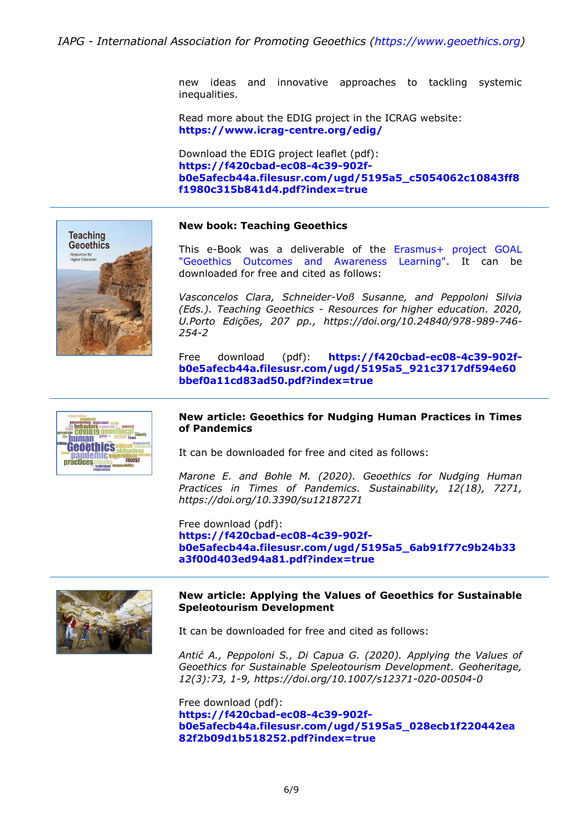new ideas and innovative approaches to tackling systemic inequalities.

Read more about the EDIG project in the ICRAG website: **<https://www.icrag-centre.org/edig/>**

Download the EDIG project leaflet (pdf): **[https://f420cbad-ec08-4c39-902f](https://f420cbad-ec08-4c39-902f-b0e5afecb44a.filesusr.com/ugd/5195a5_c5054062c10843ff8f1980c315b841d4.pdf?index=true)[b0e5afecb44a.filesusr.com/ugd/5195a5\\_c5054062c10843ff8](https://f420cbad-ec08-4c39-902f-b0e5afecb44a.filesusr.com/ugd/5195a5_c5054062c10843ff8f1980c315b841d4.pdf?index=true) [f1980c315b841d4.pdf?index=true](https://f420cbad-ec08-4c39-902f-b0e5afecb44a.filesusr.com/ugd/5195a5_c5054062c10843ff8f1980c315b841d4.pdf?index=true)**



#### **New book: Teaching Geoethics**

This e-Book was a deliverable of the [Erasmus+ project GOAL](https://www.geoethics.org/participation-in-projects)  ["Geoethics Outcomes and Awareness Learning".](https://www.geoethics.org/participation-in-projects) It can be downloaded for free and cited as follows:

*Vasconcelos Clara, Schneider-Voß Susanne, and Peppoloni Silvia (Eds.). Teaching Geoethics - Resources for higher education. 2020, U.Porto Edições, 207 pp., https://doi.org/10.24840/978-989-746- 254-2*

Free download (pdf): **[https://f420cbad-ec08-4c39-902f](https://f420cbad-ec08-4c39-902f-b0e5afecb44a.filesusr.com/ugd/5195a5_921c3717df594e60bbef0a11cd83ad50.pdf?index=true)[b0e5afecb44a.filesusr.com/ugd/5195a5\\_921c3717df594e60](https://f420cbad-ec08-4c39-902f-b0e5afecb44a.filesusr.com/ugd/5195a5_921c3717df594e60bbef0a11cd83ad50.pdf?index=true) [bbef0a11cd83ad50.pdf?index=true](https://f420cbad-ec08-4c39-902f-b0e5afecb44a.filesusr.com/ugd/5195a5_921c3717df594e60bbef0a11cd83ad50.pdf?index=true)**



#### **New article: Geoethics for Nudging Human Practices in Times of Pandemics**

It can be downloaded for free and cited as follows:

*Marone E. and Bohle M. (2020). Geoethics for Nudging Human Practices in Times of Pandemics. Sustainability, 12(18), 7271, https://doi.org/10.3390/su12187271*

Free download (pdf): **[https://f420cbad-ec08-4c39-902f](https://f420cbad-ec08-4c39-902f-b0e5afecb44a.filesusr.com/ugd/5195a5_6ab91f77c9b24b33a3f00d403ed94a81.pdf?index=true)[b0e5afecb44a.filesusr.com/ugd/5195a5\\_6ab91f77c9b24b33](https://f420cbad-ec08-4c39-902f-b0e5afecb44a.filesusr.com/ugd/5195a5_6ab91f77c9b24b33a3f00d403ed94a81.pdf?index=true) [a3f00d403ed94a81.pdf?index=true](https://f420cbad-ec08-4c39-902f-b0e5afecb44a.filesusr.com/ugd/5195a5_6ab91f77c9b24b33a3f00d403ed94a81.pdf?index=true)**



#### **New article: Applying the Values of Geoethics for Sustainable Speleotourism Development**

It can be downloaded for free and cited as follows:

*Antić A., Peppoloni S., Di Capua G. (2020). Applying the Values of Geoethics for Sustainable Speleotourism Development. Geoheritage, 12(3):73, 1-9, https://doi.org/10.1007/s12371-020-00504-0*

Free download (pdf): **[https://f420cbad-ec08-4c39-902f](https://f420cbad-ec08-4c39-902f-b0e5afecb44a.filesusr.com/ugd/5195a5_028ecb1f220442ea82f2b09d1b518252.pdf?index=true)[b0e5afecb44a.filesusr.com/ugd/5195a5\\_028ecb1f220442ea](https://f420cbad-ec08-4c39-902f-b0e5afecb44a.filesusr.com/ugd/5195a5_028ecb1f220442ea82f2b09d1b518252.pdf?index=true) [82f2b09d1b518252.pdf?index=true](https://f420cbad-ec08-4c39-902f-b0e5afecb44a.filesusr.com/ugd/5195a5_028ecb1f220442ea82f2b09d1b518252.pdf?index=true)**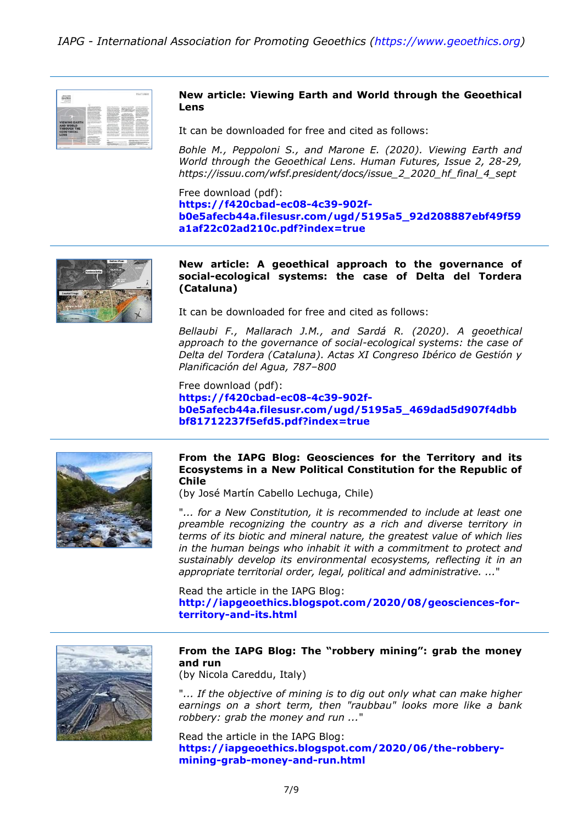

#### **New article: Viewing Earth and World through the Geoethical Lens**

It can be downloaded for free and cited as follows:

*Bohle M., Peppoloni S., and Marone E. (2020). Viewing Earth and World through the Geoethical Lens. Human Futures, Issue 2, 28-29, https://issuu.com/wfsf.president/docs/issue\_2\_2020\_hf\_final\_4\_sept*

Free download (pdf): **[https://f420cbad-ec08-4c39-902f](https://f420cbad-ec08-4c39-902f-b0e5afecb44a.filesusr.com/ugd/5195a5_92d208887ebf49f59a1af22c02ad210c.pdf?index=true)[b0e5afecb44a.filesusr.com/ugd/5195a5\\_92d208887ebf49f59](https://f420cbad-ec08-4c39-902f-b0e5afecb44a.filesusr.com/ugd/5195a5_92d208887ebf49f59a1af22c02ad210c.pdf?index=true) [a1af22c02ad210c.pdf?index=true](https://f420cbad-ec08-4c39-902f-b0e5afecb44a.filesusr.com/ugd/5195a5_92d208887ebf49f59a1af22c02ad210c.pdf?index=true)**



#### **New article: A geoethical approach to the governance of social-ecological systems: the case of Delta del Tordera (Cataluna)**

It can be downloaded for free and cited as follows:

*Bellaubi F., Mallarach J.M., and Sardá R. (2020). A geoethical approach to the governance of social-ecological systems: the case of Delta del Tordera (Cataluna). Actas XI Congreso Ibérico de Gestión y Planificación del Agua, 787–800*

Free download (pdf): **[https://f420cbad-ec08-4c39-902f](https://f420cbad-ec08-4c39-902f-b0e5afecb44a.filesusr.com/ugd/5195a5_469dad5d907f4dbbbf81712237f5efd5.pdf?index=true)[b0e5afecb44a.filesusr.com/ugd/5195a5\\_469dad5d907f4dbb](https://f420cbad-ec08-4c39-902f-b0e5afecb44a.filesusr.com/ugd/5195a5_469dad5d907f4dbbbf81712237f5efd5.pdf?index=true) [bf81712237f5efd5.pdf?index=true](https://f420cbad-ec08-4c39-902f-b0e5afecb44a.filesusr.com/ugd/5195a5_469dad5d907f4dbbbf81712237f5efd5.pdf?index=true)**



#### **From the IAPG Blog: Geosciences for the Territory and its Ecosystems in a New Political Constitution for the Republic of Chile**

(by José Martín Cabello Lechuga, Chile)

"*... for a New Constitution, it is recommended to include at least one preamble recognizing the country as a rich and diverse territory in terms of its biotic and mineral nature, the greatest value of which lies in the human beings who inhabit it with a commitment to protect and sustainably develop its environmental ecosystems, reflecting it in an appropriate territorial order, legal, political and administrative. ...*"

Read the article in the IAPG Blog: **[http://iapgeoethics.blogspot.com/2020/08/geosciences-for](http://iapgeoethics.blogspot.com/2020/08/geosciences-for-territory-and-its.html)[territory-and-its.html](http://iapgeoethics.blogspot.com/2020/08/geosciences-for-territory-and-its.html)**



#### **From the IAPG Blog: The "robbery mining": grab the money and run**

(by Nicola Careddu, Italy)

"*... If the objective of mining is to dig out only what can make higher earnings on a short term, then "raubbau" looks more like a bank robbery: grab the money and run ...*"

Read the article in the IAPG Blog: **[https://iapgeoethics.blogspot.com/2020/06/the-robbery](https://iapgeoethics.blogspot.com/2020/06/the-robbery-mining-grab-money-and-run.html)[mining-grab-money-and-run.html](https://iapgeoethics.blogspot.com/2020/06/the-robbery-mining-grab-money-and-run.html)**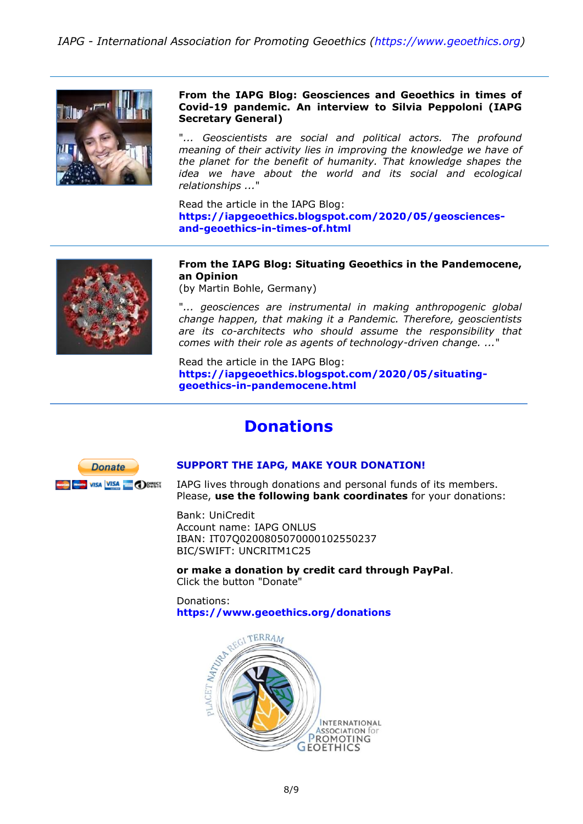

**From the IAPG Blog: Geosciences and Geoethics in times of Covid-19 pandemic. An interview to Silvia Peppoloni (IAPG Secretary General)**

"... Geoscientists are social and political actors. The profound *meaning of their activity lies in improving the knowledge we have of the planet for the benefit of humanity. That knowledge shapes the idea we have about the world and its social and ecological relationships ...*"

Read the article in the IAPG Blog: **[https://iapgeoethics.blogspot.com/2020/05/geosciences](https://iapgeoethics.blogspot.com/2020/05/geosciences-and-geoethics-in-times-of.html)[and-geoethics-in-times-of.html](https://iapgeoethics.blogspot.com/2020/05/geosciences-and-geoethics-in-times-of.html)**



**From the IAPG Blog: Situating Geoethics in the Pandemocene, an Opinion**

(by Martin Bohle, Germany)

"*... geosciences are instrumental in making anthropogenic global change happen, that making it a Pandemic. Therefore, geoscientists are its co-architects who should assume the responsibility that comes with their role as agents of technology-driven change. ...*"

Read the article in the IAPG Blog: **[https://iapgeoethics.blogspot.com/2020/05/situating](https://iapgeoethics.blogspot.com/2020/05/situating-geoethics-in-pandemocene.html)[geoethics-in-pandemocene.html](https://iapgeoethics.blogspot.com/2020/05/situating-geoethics-in-pandemocene.html)**

# **Donations**



#### **[SUPPORT THE IAPG, MAKE YOUR DONATION!](http://www.geoethics.org/donations)**

IAPG lives through donations and personal funds of its members. Please, **use the following bank coordinates** for your donations:

Bank: UniCredit Account name: IAPG ONLUS IBAN: IT07Q0200805070000102550237 BIC/SWIFT: UNCRITM1C25

**or make a donation by credit card through PayPal**. Click the button "Donate"

Donations: **<https://www.geoethics.org/donations>**